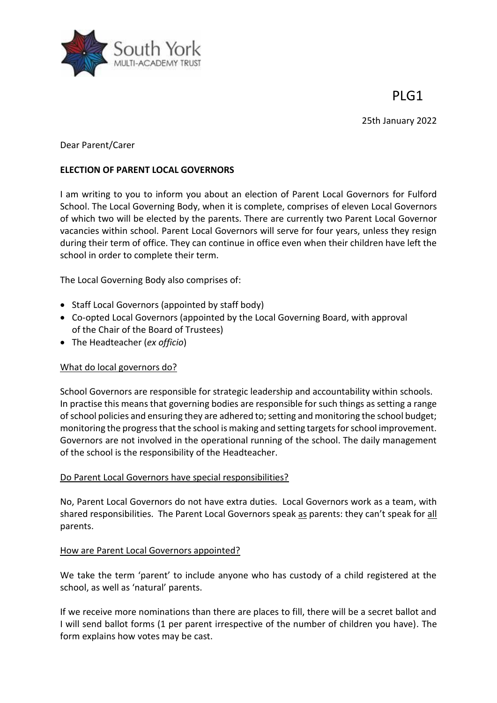

25th January 2022



Dear Parent/Carer

### **ELECTION OF PARENT LOCAL GOVERNORS**

I am writing to you to inform you about an election of Parent Local Governors for Fulford School. The Local Governing Body, when it is complete, comprises of eleven Local Governors of which two will be elected by the parents. There are currently two Parent Local Governor vacancies within school. Parent Local Governors will serve for four years, unless they resign during their term of office. They can continue in office even when their children have left the school in order to complete their term.

The Local Governing Body also comprises of:

- Staff Local Governors (appointed by staff body)
- Co-opted Local Governors (appointed by the Local Governing Board, with approval of the Chair of the Board of Trustees)
- The Headteacher (*ex officio*)

### What do local governors do?

School Governors are responsible for strategic leadership and accountability within schools. In practise this means that governing bodies are responsible for such things as setting a range of school policies and ensuring they are adhered to; setting and monitoring the school budget; monitoring the progress that the school is making and setting targets for school improvement. Governors are not involved in the operational running of the school. The daily management of the school is the responsibility of the Headteacher.

### Do Parent Local Governors have special responsibilities?

No, Parent Local Governors do not have extra duties. Local Governors work as a team, with shared responsibilities. The Parent Local Governors speak as parents: they can't speak for all parents.

### How are Parent Local Governors appointed?

We take the term 'parent' to include anyone who has custody of a child registered at the school, as well as 'natural' parents.

If we receive more nominations than there are places to fill, there will be a secret ballot and I will send ballot forms (1 per parent irrespective of the number of children you have). The form explains how votes may be cast.